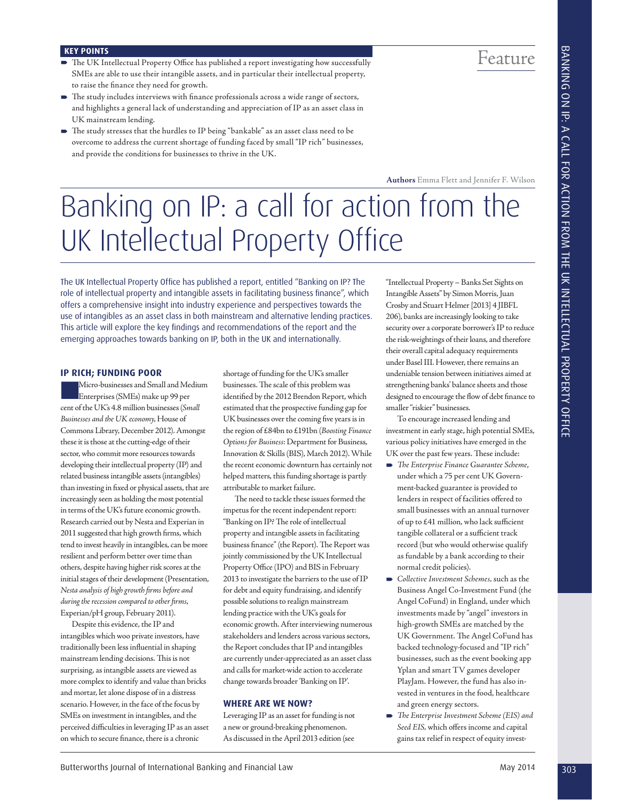- **KEY POINTS**<br>The UK Intellectual Property Office has published a report investigating how successfully **Feature** SMEs are able to use their intangible assets, and in particular their intellectual property, to raise the finance they need for growth.
- $\blacktriangleright$  The study includes interviews with finance professionals across a wide range of sectors, and highlights a general lack of understanding and appreciation of IP as an asset class in UK mainstream lending.
- The study stresses that the hurdles to IP being "bankable" as an asset class need to be overcome to address the current shortage of funding faced by small "IP rich" businesses, and provide the conditions for businesses to thrive in the UK.

**Authors** Emma Flett and Jennifer F. Wilson

# **Banking on IP: a call for an IP: a call for an IP:**  $\overline{O}$  $\blacksquare$

The UK Intellectual Property Office has published a report, entitled "Banking on IP? The role of intellectual property and intangible assets in facilitating business finance", which offers a comprehensive insight into industry experience and perspectives towards the use of intangibles as an asset class in both mainstream and alternative lending practices. This article will explore the key findings and recommendations of the report and the emerging approaches towards banking on IP, both in the UK and internationally.

#### **IP RICH; FUNDING POOR**

303 Butterworths Journal of The Company of The Company of The Company of The Company of The Company of The Company of The Company of The Company of The Company of The Company of The Company of The Company of The Company o Micro-businesses and Small and Medium Enterprises (SMEs) make up 99 per cent of the UK's 4.8 million businesses (*Small Businesses and the UK economy*, House of Commons Library, December 2012). Amongst these it is those at the cutting-edge of their sector, who commit more resources towards developing their intellectual property (IP) and related business intangible assets (intangibles) than investing in fixed or physical assets, that are increasingly seen as holding the most potential in terms of the UK's future economic growth. Research carried out by Nesta and Experian in 2011 suggested that high growth firms, which tend to invest heavily in intangibles, can be more resilient and perform better over time than others, despite having higher risk scores at the initial stages of their development (Presentation, *Nesta analysis of high growth fi rms before and*  during the recession compared to other firms, Experian/pH group, February 2011).

Despite this evidence, the IP and intangibles which woo private investors, have traditionally been less influential in shaping mainstream lending decisions. This is not surprising, as intangible assets are viewed as more complex to identify and value than bricks and mortar, let alone dispose of in a distress scenario. However, in the face of the focus by SMEs on investment in intangibles, and the perceived difficulties in leveraging IP as an asset on which to secure finance, there is a chronic

shortage of funding for the UK's smaller businesses. The scale of this problem was identified by the 2012 Brendon Report, which estimated that the prospective funding gap for UK businesses over the coming five years is in the region of £84bn to £191bn (*Boosting Finance Options for Business*: Department for Business, Innovation & Skills (BIS), March 2012). While the recent economic downturn has certainly not helped matters, this funding shortage is partly attributable to market failure.

The need to tackle these issues formed the impetus for the recent independent report: "Banking on IP? The role of intellectual property and intangible assets in facilitating business finance" (the Report). The Report was jointly commissioned by the UK Intellectual Property Office (IPO) and BIS in February 2013 to investigate the barriers to the use of IP for debt and equity fundraising, and identify possible solutions to realign mainstream lending practice with the UK's goals for economic growth. After interviewing numerous stakeholders and lenders across various sectors, the Report concludes that IP and intangibles are currently under-appreciated as an asset class and calls for market-wide action to accelerate change towards broader 'Banking on IP'.

#### **WHERE ARE WE NOW?**

Leveraging IP as an asset for funding is not a new or ground-breaking phenomenon. As discussed in the April 2013 edition (see

"Intellectual Property – Banks Set Sights on Intangible Assets" by Simon Morris, Juan Crosby and Stuart Helmer [2013] 4 JIBFL 206), banks are increasingly looking to take security over a corporate borrower's IP to reduce the risk-weightings of their loans, and therefore their overall capital adequacy requirements under Basel III. However, there remains an undeniable tension between initiatives aimed at strengthening banks' balance sheets and those designed to encourage the flow of debt finance to smaller "riskier" businesses.

To encourage increased lending and investment in early stage, high potential SMEs, various policy initiatives have emerged in the UK over the past few years. These include:

- **The Enterprise Finance Guarantee Scheme,** under which a 75 per cent UK Government-backed guarantee is provided to lenders in respect of facilities offered to small businesses with an annual turnover of up to  $£41$  million, who lack sufficient tangible collateral or a sufficient track record (but who would otherwise qualify as fundable by a bank according to their normal credit policies).
- *Collective Investment Schemes,* such as the Business Angel Co-Investment Fund (the Angel CoFund) in England, under which investments made by "angel" investors in high-growth SMEs are matched by the UK Government. The Angel CoFund has backed technology-focused and "IP rich" businesses, such as the event booking app Yplan and smart TV games developer PlayJam. However, the fund has also invested in ventures in the food, healthcare and green energy sectors.
- *Th e Enterprise Investment Scheme (EIS) and*  Seed EIS, which offers income and capital gains tax relief in respect of equity invest-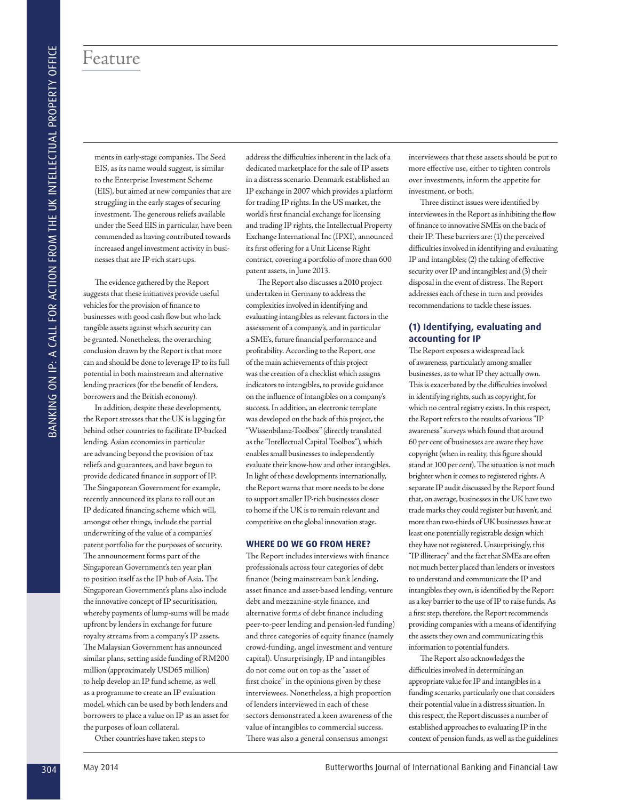## Feature

ments in early-stage companies. The Seed EIS, as its name would suggest, is similar to the Enterprise Investment Scheme (EIS), but aimed at new companies that are struggling in the early stages of securing investment. The generous reliefs available under the Seed EIS in particular, have been commended as having contributed towards increased angel investment activity in businesses that are IP-rich start-ups.

The evidence gathered by the Report suggests that these initiatives provide useful vehicles for the provision of finance to businesses with good cash flow but who lack tangible assets against which security can be granted. Nonetheless, the overarching conclusion drawn by the Report is that more can and should be done to leverage IP to its full potential in both mainstream and alternative lending practices (for the benefit of lenders, borrowers and the British economy).

 $\begin{array}{l} \textbf{304} \end{array} \begin{array}{l} \textbf{314} \end{array} \begin{array}{l} \textbf{324} \end{array} \begin{array}{l} \textbf{334} \end{array} \begin{array}{l} \textbf{344} \end{array} \begin{array}{l} \textbf{344} \end{array} \begin{array}{l} \textbf{344} \end{array} \begin{array}{l} \textbf{344} \end{array} \begin{array}{l} \textbf{344} \end{array} \begin{array}{l} \textbf{344} \end{array} \begin{array}{l} \textbf{344} \end{array}$ In addition, despite these developments, the Report stresses that the UK is lagging far behind other countries to facilitate IP-backed lending. Asian economies in particular are advancing beyond the provision of tax reliefs and guarantees, and have begun to provide dedicated finance in support of IP. The Singaporean Government for example, recently announced its plans to roll out an IP dedicated financing scheme which will, amongst other things, include the partial underwriting of the value of a companies' patent portfolio for the purposes of security. The announcement forms part of the Singaporean Government's ten year plan to position itself as the IP hub of Asia. The Singaporean Government's plans also include the innovative concept of IP securitisation, whereby payments of lump-sums will be made upfront by lenders in exchange for future royalty streams from a company's IP assets. The Malaysian Government has announced similar plans, setting aside funding of RM200 million (approximately USD65 million) to help develop an IP fund scheme, as well as a programme to create an IP evaluation model, which can be used by both lenders and borrowers to place a value on IP as an asset for the purposes of loan collateral.

Other countries have taken steps to

address the difficulties inherent in the lack of a dedicated marketplace for the sale of IP assets in a distress scenario. Denmark established an IP exchange in 2007 which provides a platform for trading IP rights. In the US market, the world's first financial exchange for licensing and trading IP rights, the Intellectual Property Exchange International Inc (IPXI), announced its first offering for a Unit License Right contract, covering a portfolio of more than 600 patent assets, in June 2013.

The Report also discusses a 2010 project undertaken in Germany to address the complexities involved in identifying and evaluating intangibles as relevant factors in the assessment of a company's, and in particular a SME's, future financial performance and profitability. According to the Report, one of the main achievements of this project was the creation of a checklist which assigns indicators to intangibles, to provide guidance on the influence of intangibles on a company's success. In addition, an electronic template was developed on the back of this project, the "Wissenbilanz-Toolbox" (directly translated as the "Intellectual Capital Toolbox"), which enables small businesses to independently evaluate their know-how and other intangibles. In light of these developments internationally, the Report warns that more needs to be done to support smaller IP-rich businesses closer to home if the UK is to remain relevant and competitive on the global innovation stage.

#### **WHERE DO WE GO FROM HERE?**

The Report includes interviews with finance professionals across four categories of debt finance (being mainstream bank lending, asset finance and asset-based lending, venture debt and mezzanine-style finance, and alternative forms of debt finance including peer-to-peer lending and pension-led funding) and three categories of equity finance (namely crowd-funding, angel investment and venture capital). Unsurprisingly, IP and intangibles do not come out on top as the "asset of first choice" in the opinions given by these interviewees. Nonetheless, a high proportion of lenders interviewed in each of these sectors demonstrated a keen awareness of the value of intangibles to commercial success. There was also a general consensus amongst

interviewees that these assets should be put to more effective use, either to tighten controls over investments, inform the appetite for investment, or both.

Three distinct issues were identified by interviewees in the Report as inhibiting the flow of finance to innovative SMEs on the back of their IP. These barriers are: (1) the perceived difficulties involved in identifying and evaluating IP and intangibles; (2) the taking of effective security over IP and intangibles; and (3) their disposal in the event of distress. The Report addresses each of these in turn and provides recommendations to tackle these issues.

#### **(1) Identifying, evaluating and accounting for IP**

The Report exposes a widespread lack of awareness, particularly among smaller businesses, as to what IP they actually own. This is exacerbated by the difficulties involved in identifying rights, such as copyright, for which no central registry exists. In this respect, the Report refers to the results of various "IP awareness" surveys which found that around 60 per cent of businesses are aware they have copyright (when in reality, this figure should stand at 100 per cent). The situation is not much brighter when it comes to registered rights. A separate IP audit discussed by the Report found that, on average, businesses in the UK have two trade marks they could register but haven't, and more than two-thirds of UK businesses have at least one potentially registrable design which they have not registered. Unsurprisingly, this "IP illiteracy" and the fact that SMEs are often not much better placed than lenders or investors to understand and communicate the IP and intangibles they own, is identified by the Report as a key barrier to the use of IP to raise funds. As a first step, therefore, the Report recommends providing companies with a means of identifying the assets they own and communicating this information to potential funders.

The Report also acknowledges the difficulties involved in determining an appropriate value for IP and intangibles in a funding scenario, particularly one that considers their potential value in a distress situation. In this respect, the Report discusses a number of established approaches to evaluating IP in the context of pension funds, as well as the guidelines